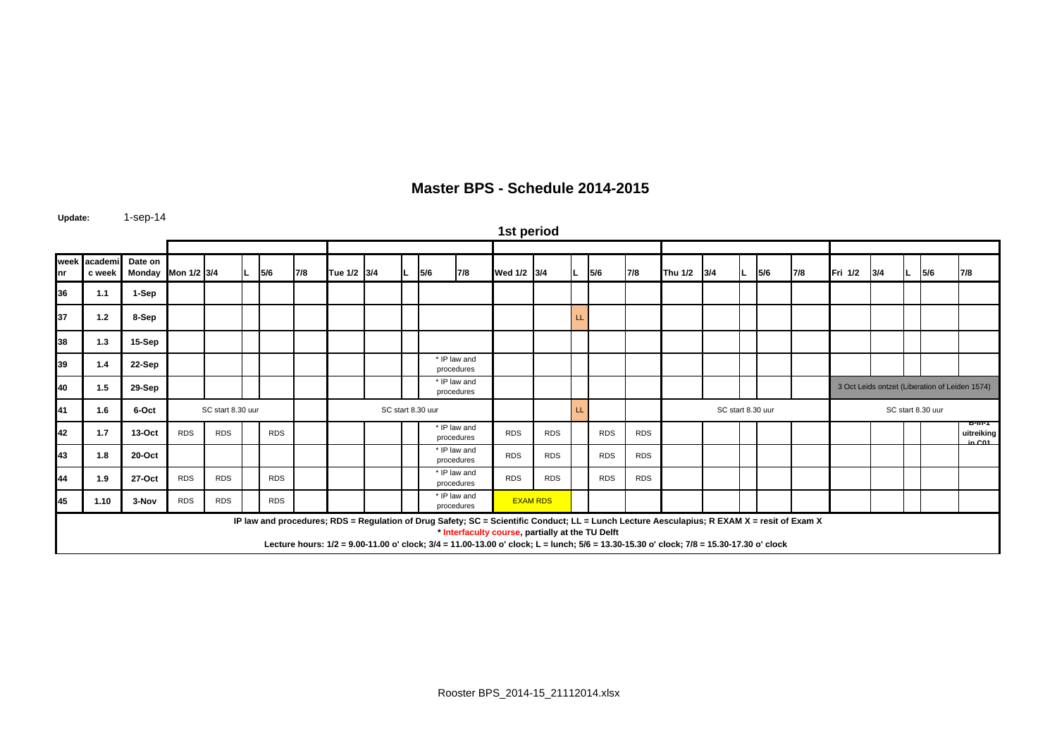| Master BPS - Schedule 2014-2015 |  |
|---------------------------------|--|
|---------------------------------|--|

**Update:** 1-sep-14

**week nracademic week Date on** Monday |Mon 1/2 |3/4 |L |5/6 |7/8 |Tue 1/2 |3/4 |L |5/6 |7/8 |Wed 1/2 |3/4 |L |5/6 |7/8 |Thu 1/2 |3/4 |L |5/6 |7/8 |Fri 1/2 |3/4 |L |5/6 |7/8 **36 1.1 1-Sep 37 1.2 8-Sep** LL **38 1.3 15-Sep 39 1.4 22-Sep 40 1.5 29-Sep 41 1.6 6-Oct**t SC start 8.30 uur SC start 8.30 uur SC start 8.30 uur SC start 8.30 uur SC start 8.30 uur SC start 8.30 uur **42 1.7 13-Oct** RDS RDS RDS RDS RDS RDS RDS **B-in-1 uitreiking in C0143 1.8 20-Oct**t I I I I I I I I I I I RDS I RDS I RDS I RDS **44 1.9 27-Oct** RDS RDS RDS RDS RDS RDS RDS **45 1.10 3-Nov**RDS RDS RDS **1st period** \* IP law and procedures \* IP law and procedures \* IP law and procedures \* IP law and procedures \* IP law and procedures \* IP law and procedures  **IP law and procedures; RDS = Regulation of Drug Safety; SC = Scientific Conduct; LL = Lunch Lecture Aesculapius; R EXAM X = resit of Exam X \* Interfaculty course, partially at the TU Delft Lecture hours: 1/2 = 9.00-11.00 o' clock; 3/4 = 11.00-13.00 o' clock; L = lunch; 5/6 = 13.30-15.30 o' clock; 7/8 = 15.30-17.30 o' clock** EXAM RDS3 Oct Leids ontzet (Liberation of Leiden 1574) EL SC start 8.30 uur SC start 8.30 uur SC start 8.30 uur SC start 8.30 uur SC start 8.30 uur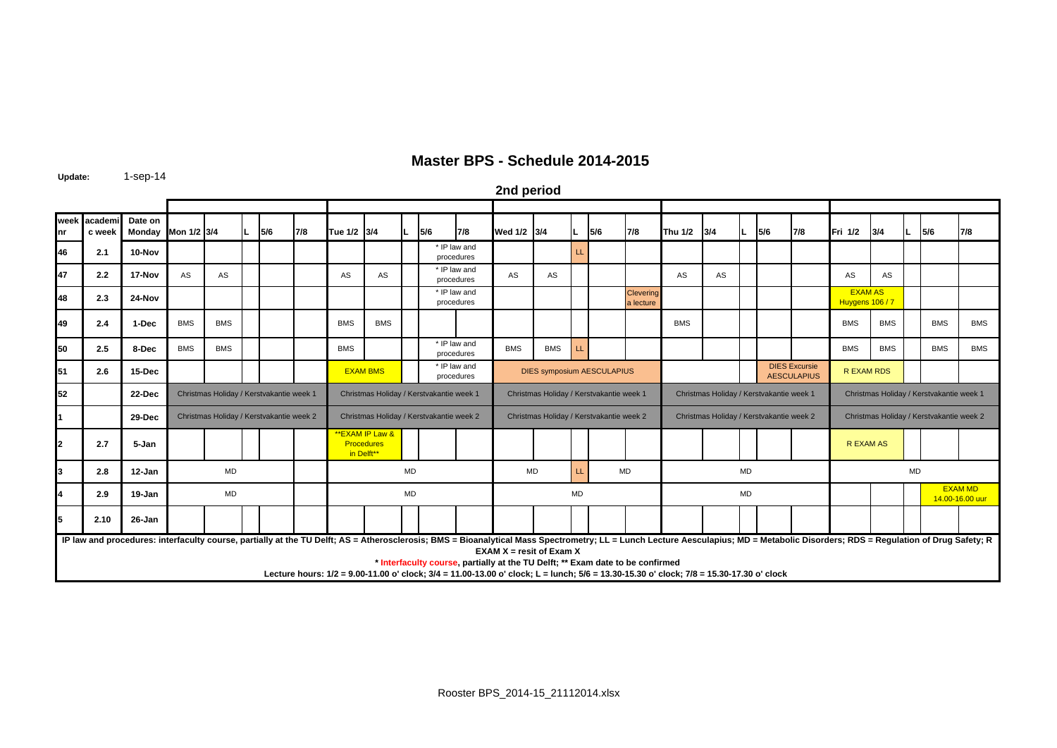**Update:** 1-sep-14

**2nd period**

| nr | week academ<br>c week | Date on                                                                                                                                                                                                                        | Monday Mon 1/2 3/4 |                                          |  | 5/6 | 7/8 | Tue 1/2 3/4                              |                                                   |           | 5/6                        | 7/8                        | Wed 1/2 3/4                                                                                                                                                                                                                                               |                                   | IL.       | 5/6                                      | 7/8                           | Thu 1/2    | 3/4                                        |                  | 5/6 | 7/8                                      | Fri 1/2                           | 3/4                               |                                          | 5/6        | 7/8        |
|----|-----------------------|--------------------------------------------------------------------------------------------------------------------------------------------------------------------------------------------------------------------------------|--------------------|------------------------------------------|--|-----|-----|------------------------------------------|---------------------------------------------------|-----------|----------------------------|----------------------------|-----------------------------------------------------------------------------------------------------------------------------------------------------------------------------------------------------------------------------------------------------------|-----------------------------------|-----------|------------------------------------------|-------------------------------|------------|--------------------------------------------|------------------|-----|------------------------------------------|-----------------------------------|-----------------------------------|------------------------------------------|------------|------------|
| 46 | 2.1                   | 10-Nov                                                                                                                                                                                                                         |                    |                                          |  |     |     |                                          |                                                   |           |                            | * IP law and<br>procedures |                                                                                                                                                                                                                                                           |                                   | LL        |                                          |                               |            |                                            |                  |     |                                          |                                   |                                   |                                          |            |            |
| 47 | 2.2                   | 17-Nov                                                                                                                                                                                                                         | AS                 | AS                                       |  |     |     | AS                                       | AS                                                |           |                            | * IP law and<br>procedures | AS                                                                                                                                                                                                                                                        | AS                                |           |                                          |                               | AS         | AS                                         |                  |     |                                          | AS                                | AS                                |                                          |            |            |
| 48 | 2.3                   | 24-Nov                                                                                                                                                                                                                         |                    |                                          |  |     |     |                                          |                                                   |           |                            | * IP law and<br>procedures |                                                                                                                                                                                                                                                           |                                   |           |                                          | <b>Clevering</b><br>a lecture |            |                                            |                  |     |                                          | <b>EXAM AS</b><br>Huygens 106 / 7 |                                   |                                          |            |            |
| 49 | 2.4                   | 1-Dec                                                                                                                                                                                                                          | <b>BMS</b>         | <b>BMS</b>                               |  |     |     | <b>BMS</b>                               | <b>BMS</b>                                        |           |                            |                            |                                                                                                                                                                                                                                                           |                                   |           |                                          |                               | <b>BMS</b> |                                            |                  |     |                                          | <b>BMS</b>                        | <b>BMS</b>                        |                                          | <b>BMS</b> | <b>BMS</b> |
| 50 | 2.5                   | 8-Dec                                                                                                                                                                                                                          | <b>BMS</b>         | <b>BMS</b>                               |  |     |     | <b>BMS</b>                               |                                                   |           |                            | * IP law and<br>procedures | <b>BMS</b>                                                                                                                                                                                                                                                | <b>BMS</b>                        | LL        |                                          |                               |            |                                            |                  |     |                                          | <b>BMS</b>                        | <b>BMS</b>                        |                                          | <b>BMS</b> | <b>BMS</b> |
| 51 | 2.6                   | 15-Dec                                                                                                                                                                                                                         |                    |                                          |  |     |     |                                          | <b>EXAM BMS</b>                                   |           | * IP law and<br>procedures |                            |                                                                                                                                                                                                                                                           | <b>DIES symposium AESCULAPIUS</b> |           |                                          |                               |            | <b>DIES Excursie</b><br><b>AESCULAPIUS</b> | <b>REXAM RDS</b> |     |                                          |                                   |                                   |                                          |            |            |
| 52 |                       | 22-Dec                                                                                                                                                                                                                         |                    | Christmas Holiday / Kerstvakantie week 1 |  |     |     | Christmas Holiday / Kerstvakantie week 1 |                                                   |           |                            |                            |                                                                                                                                                                                                                                                           |                                   |           | Christmas Holiday / Kerstvakantie week 1 |                               |            | Christmas Holiday / Kerstvakantie week 1   |                  |     |                                          |                                   |                                   | Christmas Holiday / Kerstvakantie week 1 |            |            |
|    |                       | 29-Dec                                                                                                                                                                                                                         |                    | Christmas Holiday / Kerstvakantie week 2 |  |     |     | Christmas Holiday / Kerstvakantie week 2 |                                                   |           |                            |                            | Christmas Holiday / Kerstvakantie week 2                                                                                                                                                                                                                  |                                   |           |                                          |                               |            | Christmas Holiday / Kerstvakantie week 2   |                  |     | Christmas Holiday / Kerstvakantie week 2 |                                   |                                   |                                          |            |            |
| 2  | 2.7                   | 5-Jan                                                                                                                                                                                                                          |                    |                                          |  |     |     |                                          | *EXAM IP Law &<br><b>Procedures</b><br>in Delft** |           |                            |                            |                                                                                                                                                                                                                                                           |                                   |           |                                          |                               |            |                                            |                  |     | <b>REXAMAS</b>                           |                                   |                                   |                                          |            |            |
| з  | 2.8                   | $12 - Jan$                                                                                                                                                                                                                     |                    | <b>MD</b>                                |  |     |     | <b>MD</b>                                |                                                   |           |                            |                            | <b>MD</b>                                                                                                                                                                                                                                                 |                                   | LL        | <b>MD</b>                                |                               |            | <b>MD</b>                                  |                  |     | <b>MD</b>                                |                                   |                                   |                                          |            |            |
|    | 2.9                   | 19-Jan                                                                                                                                                                                                                         |                    | MD                                       |  |     |     |                                          |                                                   | <b>MD</b> |                            |                            |                                                                                                                                                                                                                                                           |                                   | <b>MD</b> |                                          |                               |            |                                            | <b>MD</b>        |     |                                          |                                   | <b>EXAM MD</b><br>14.00-16.00 uur |                                          |            |            |
| 5  | 2.10                  | 26-Jan                                                                                                                                                                                                                         |                    |                                          |  |     |     |                                          |                                                   |           |                            |                            |                                                                                                                                                                                                                                                           |                                   |           |                                          |                               |            |                                            |                  |     |                                          |                                   |                                   |                                          |            |            |
|    |                       | IP law and procedures: interfaculty course, partially at the TU Delft; AS = Atherosclerosis; BMS = Bioanalytical Mass Spectrometry; LL = Lunch Lecture Aesculapius; MD = Metabolic Disorders; RDS = Regulation of Drug Safety; |                    |                                          |  |     |     |                                          |                                                   |           |                            |                            | EXAM $X =$ resit of Exam $X$<br>* Interfaculty course, partially at the TU Delft; ** Exam date to be confirmed<br>Lecture hours: 1/2 = 9.00-11.00 o' clock; 3/4 = 11.00-13.00 o' clock; L = lunch; 5/6 = 13.30-15.30 o' clock; 7/8 = 15.30-17.30 o' clock |                                   |           |                                          |                               |            |                                            |                  |     |                                          |                                   |                                   |                                          |            |            |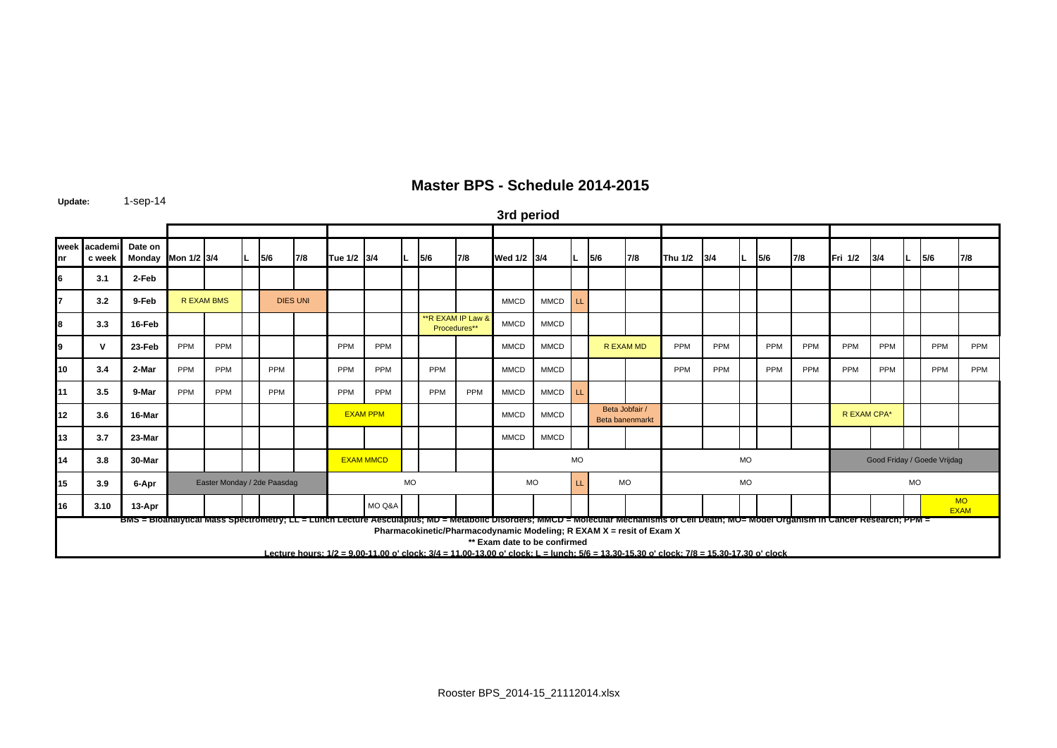**Update:** 1-sep-14

**3rd period**

| nr | week academi<br>c week | Date on<br>Monday Mon 1/2 3/4                                                                                                                                                             |     |                             | L. | 5/6        | 7/8             | Tue 1/2 3/4 |                  |           | 5/6 | 7/8                                | Wed 1/2 3/4                                                                                          |             | IL.       | 5/6                               | 7/8       | Thu 1/2 3/4                                                                                                                             |     |                             | 5/6        | 7/8 | Fri 1/2     | 3/4        |                          | 5/6 | 7/8        |  |  |
|----|------------------------|-------------------------------------------------------------------------------------------------------------------------------------------------------------------------------------------|-----|-----------------------------|----|------------|-----------------|-------------|------------------|-----------|-----|------------------------------------|------------------------------------------------------------------------------------------------------|-------------|-----------|-----------------------------------|-----------|-----------------------------------------------------------------------------------------------------------------------------------------|-----|-----------------------------|------------|-----|-------------|------------|--------------------------|-----|------------|--|--|
| 16 | 3.1                    | 2-Feb                                                                                                                                                                                     |     |                             |    |            |                 |             |                  |           |     |                                    |                                                                                                      |             |           |                                   |           |                                                                                                                                         |     |                             |            |     |             |            |                          |     |            |  |  |
|    | 3.2                    | 9-Feb                                                                                                                                                                                     |     | <b>R EXAM BMS</b>           |    |            | <b>DIES UNI</b> |             |                  |           |     |                                    | <b>MMCD</b>                                                                                          | <b>MMCD</b> | <b>LL</b> |                                   |           |                                                                                                                                         |     |                             |            |     |             |            |                          |     |            |  |  |
|    | 3.3                    | 16-Feb                                                                                                                                                                                    |     |                             |    |            |                 |             |                  |           |     | ** R EXAM IP Law &<br>Procedures** | <b>MMCD</b>                                                                                          | <b>MMCD</b> |           |                                   |           |                                                                                                                                         |     |                             |            |     |             |            |                          |     |            |  |  |
|    | v                      | 23-Feb                                                                                                                                                                                    | PPM | PPM                         |    |            |                 | PPM         | PPM              |           |     |                                    | <b>MMCD</b>                                                                                          | <b>MMCD</b> |           |                                   | R EXAM MD | PPM                                                                                                                                     | PPM |                             | PPM        | PPM | PPM         | <b>PPM</b> |                          | PPM | <b>PPM</b> |  |  |
| 10 | 3.4                    | 2-Mar                                                                                                                                                                                     | PPM | PPM                         |    | PPM        |                 | PPM         | <b>PPM</b>       |           | PPM |                                    | <b>MMCD</b>                                                                                          | <b>MMCD</b> |           |                                   |           | PPM                                                                                                                                     | PPM |                             | <b>PPM</b> | PPM | PPM         | PPM        |                          | PPM | <b>PPM</b> |  |  |
| 11 | 3.5                    | 9-Mar                                                                                                                                                                                     | PPM | PPM                         |    | <b>PPM</b> |                 | <b>PPM</b>  | <b>PPM</b>       |           | PPM | PPM                                | <b>MMCD</b>                                                                                          | <b>MMCD</b> | LL        |                                   |           |                                                                                                                                         |     |                             |            |     |             |            |                          |     |            |  |  |
| 12 | 3.6                    | 16-Mar                                                                                                                                                                                    |     |                             |    |            |                 |             | <b>EXAM PPM</b>  |           |     |                                    | <b>MMCD</b>                                                                                          | <b>MMCD</b> |           | Beta Jobfair /<br>Beta banenmarkt |           |                                                                                                                                         |     |                             |            |     | R EXAM CPA* |            |                          |     |            |  |  |
| 13 | 3.7                    | 23-Mar                                                                                                                                                                                    |     |                             |    |            |                 |             |                  |           |     |                                    | <b>MMCD</b>                                                                                          | <b>MMCD</b> |           |                                   |           |                                                                                                                                         |     |                             |            |     |             |            |                          |     |            |  |  |
| 14 | 3.8                    | 30-Mar                                                                                                                                                                                    |     |                             |    |            |                 |             | <b>EXAM MMCD</b> |           |     |                                    |                                                                                                      | <b>MO</b>   |           |                                   |           |                                                                                                                                         |     | Good Friday / Goede Vrijdag |            |     |             |            |                          |     |            |  |  |
| 15 | 3.9                    | 6-Apr                                                                                                                                                                                     |     | Easter Monday / 2de Paasdag |    |            |                 |             |                  | <b>MO</b> |     |                                    | <b>MO</b>                                                                                            |             | LL.       |                                   | <b>MO</b> |                                                                                                                                         |     | <b>MO</b>                   |            |     | <b>MO</b>   |            |                          |     |            |  |  |
| 16 | 3.10                   | 13-Apr                                                                                                                                                                                    |     |                             |    |            |                 |             | MO Q&A           |           |     |                                    |                                                                                                      |             |           |                                   |           |                                                                                                                                         |     |                             |            |     |             |            | <b>MO</b><br><b>EXAM</b> |     |            |  |  |
|    |                        | BMS = BIOanalytical Mass Spectrometry; LL = Lunch Lecture Aesculapius; MD = Metabolic Disorders; MINCD = Molecular Mechanisms of Cell Death; MO= Model Organism in Cancer Research; PPM = |     |                             |    |            |                 |             |                  |           |     |                                    | Pharmacokinetic/Pharmacodynamic Modeling; R EXAM X = resit of Exam X<br>** Exam date to be confirmed |             |           |                                   |           | Lecture hours: 1/2 = 9.00-11.00 o' clock: 3/4 = 11.00-13.00 o' clock: L = lunch: 5/6 = 13.30-15.30 o' clock: 7/8 = 15.30-17.30 o' clock |     |                             |            |     |             |            |                          |     |            |  |  |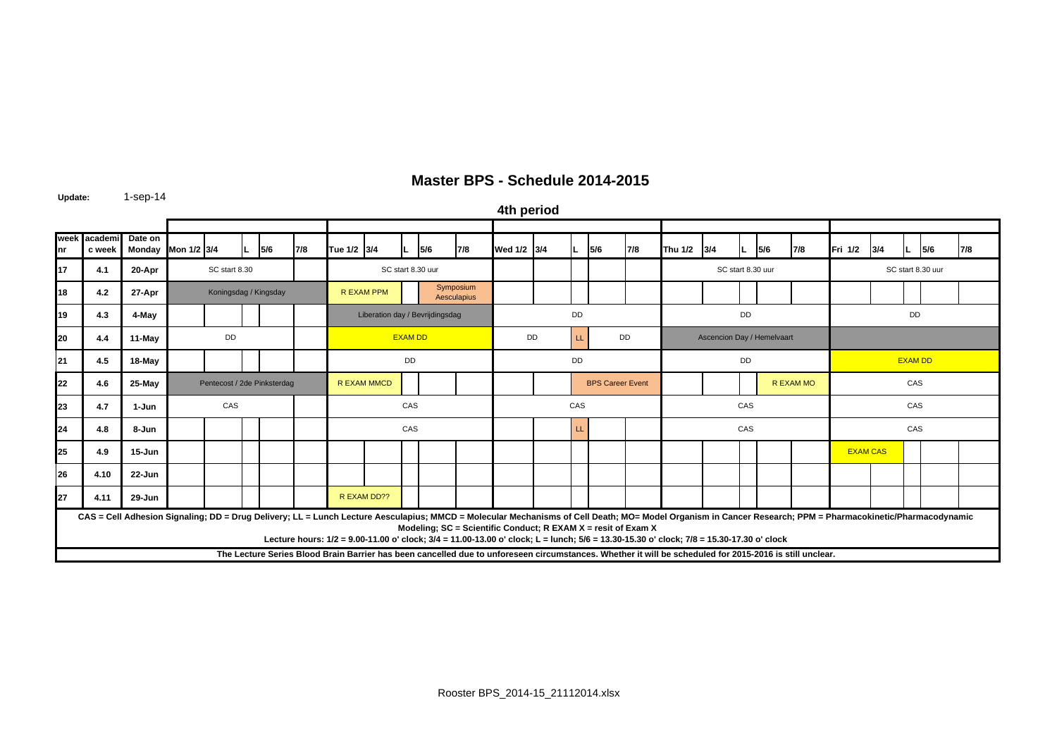**Update:** 1-sep-14

**week academi nrc week Date on**  Monday |Mon 1/2 |3/4 |L |5/6 |7/8 |Tue 1/2 |3/4 |L |5/6 |7/8 |Wed 1/2 |3/4 |L |5/6 |7/8 |Thu 1/2 |3/4 |L |5/6 |7/8 |Fri 1/2 |3/4 |L |5/6 |7/8 **17 4.1 20-Apr 18 4.2 27-Apr 19 4.3 4-May 20 4.4 11-May** LL **21 4.5 18-May 22 4.6 25-May 23 4.7 1-Jun 24 4.8 8-Jun**n | | | | | | | CAS | | | |LL **25 4.9 15-Jun26 4.10 22-Jun 27 4.11 29-Jun** R EXAM DD?? R EXAM MMCDR EXAM PPMDD DD DD**DD**  BPS Career Event CAS CASS I I I I CAS CAS CAS EXAM CAS CAS CASCAS **The Lecture Series Blood Brain Barrier has been cancelled due to unforeseen circumstances. Whether it will be scheduled for 2015-2016 is still unclear.** Pentecost / 2de Pinksterdag Ascencion Day / Hemelvaart Koningsdag / Kingsday **CAS = Cell Adhesion Signaling; DD = Drug Delivery; LL = Lunch Lecture Aesculapius; MMCD = Molecular Mechanisms of Cell Death; MO= Model Organism in Cancer Research; PPM = Pharmacokinetic/Pharmacodynamic Modeling; SC = Scientific Conduct; R EXAM X = resit of Exam X Lecture hours: 1/2 = 9.00-11.00 o' clock; 3/4 = 11.00-13.00 o' clock; L = lunch; 5/6 = 13.30-15.30 o' clock; 7/8 = 15.30-17.30 o' clock** DDDDEXAM DD **DD** DD CAS **4th period** SC start 8.30Liberation day / Bevrijdingsdag **DD** EXAM DD R EXAM MO CAS DDCAS DDSymposium **Aesculapius** SC start 8.30 uurSC start 8.30 uur **SC start 8.30 uur**